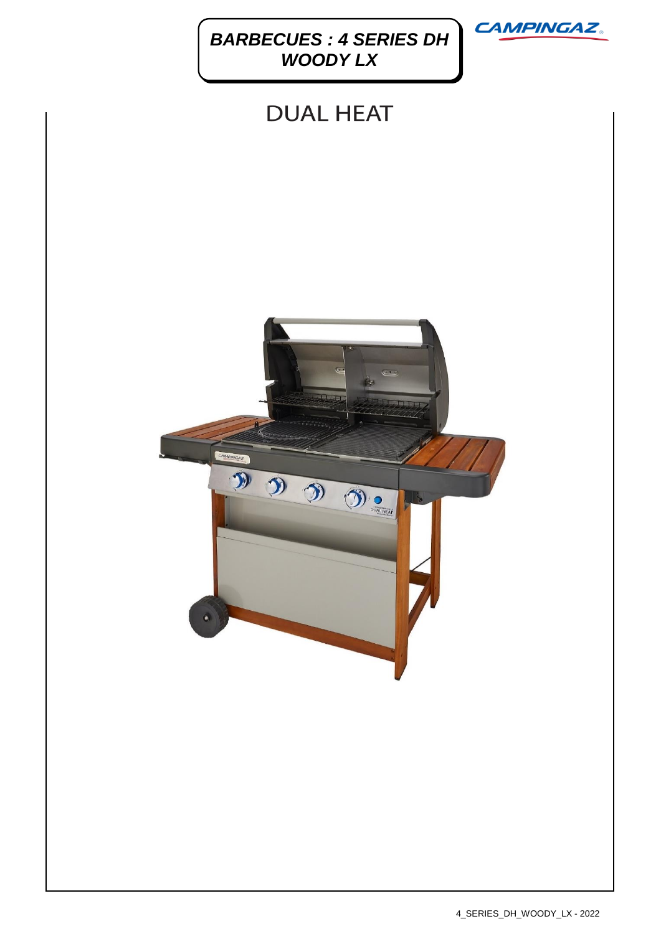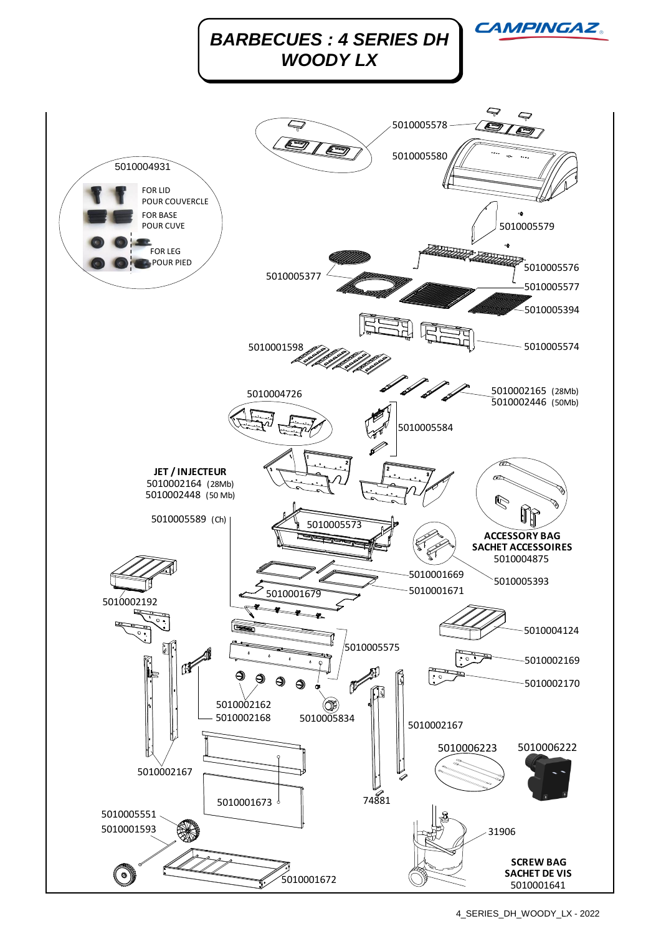